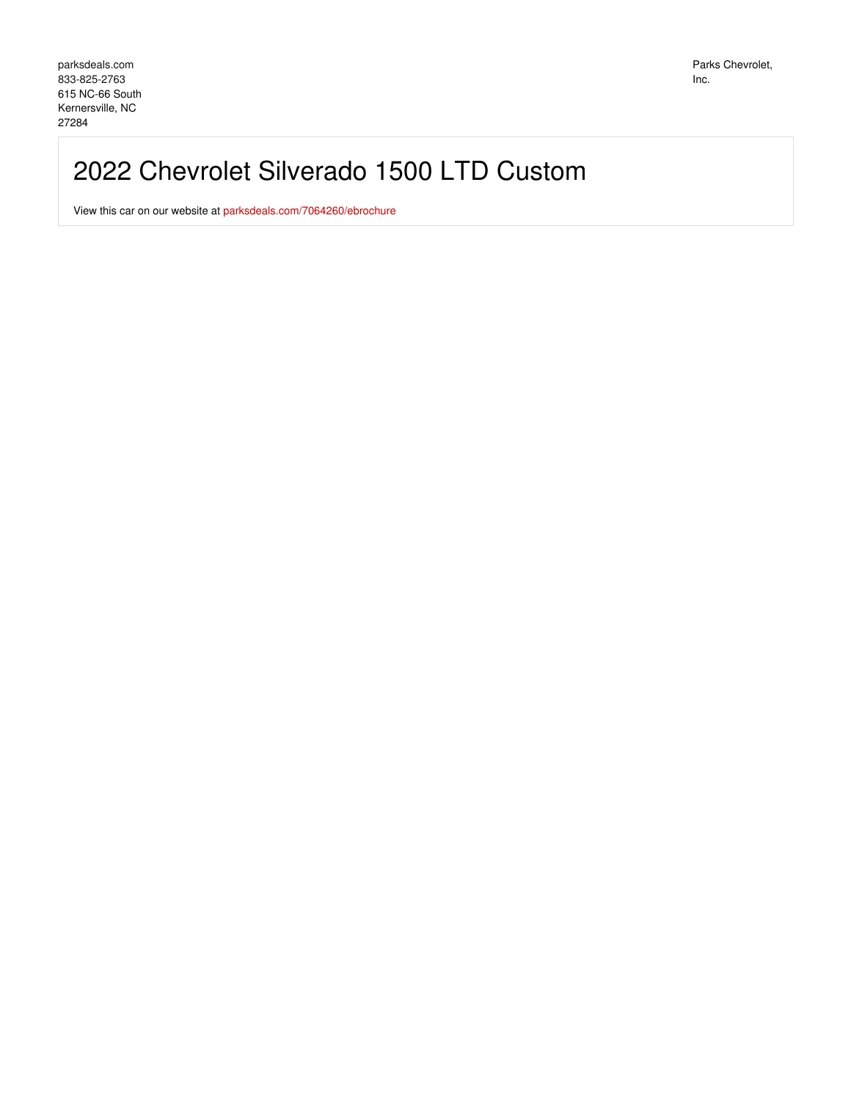# 2022 Chevrolet Silverado 1500 LTD Custom

View this car on our website at [parksdeals.com/7064260/ebrochure](file:///7064260/ebrochure)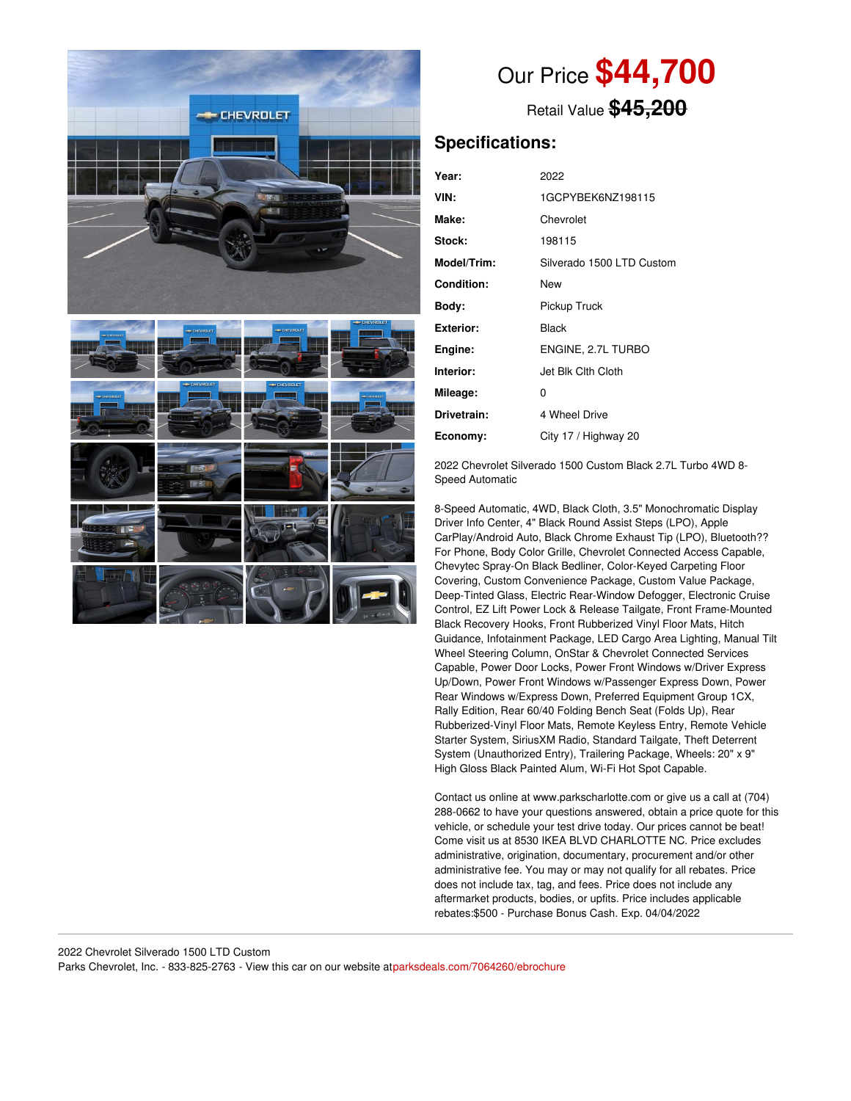

Our Price **\$44,700**

Retail Value **\$45,200**

# **Specifications:**

| Year:             | 2022                      |
|-------------------|---------------------------|
| VIN:              | 1GCPYBEK6NZ198115         |
| Make:             | Chevrolet                 |
| Stock:            | 198115                    |
| Model/Trim:       | Silverado 1500 LTD Custom |
| <b>Condition:</b> | New                       |
| Body:             | Pickup Truck              |
| Exterior:         | Black                     |
| Engine:           | ENGINE, 2.7L TURBO        |
| Interior:         | Jet Blk Clth Cloth        |
| Mileage:          | 0                         |
| Drivetrain:       | 4 Wheel Drive             |
| Economy:          | City 17 / Highway 20      |

2022 Chevrolet Silverado 1500 Custom Black 2.7L Turbo 4WD 8- Speed Automatic

8-Speed Automatic, 4WD, Black Cloth, 3.5" Monochromatic Display Driver Info Center, 4" Black Round Assist Steps (LPO), Apple CarPlay/Android Auto, Black Chrome Exhaust Tip (LPO), Bluetooth?? For Phone, Body Color Grille, Chevrolet Connected Access Capable, Chevytec Spray-On Black Bedliner, Color-Keyed Carpeting Floor Covering, Custom Convenience Package, Custom Value Package, Deep-Tinted Glass, Electric Rear-Window Defogger, Electronic Cruise Control, EZ Lift Power Lock & Release Tailgate, Front Frame-Mounted Black Recovery Hooks, Front Rubberized Vinyl Floor Mats, Hitch Guidance, Infotainment Package, LED Cargo Area Lighting, Manual Tilt Wheel Steering Column, OnStar & Chevrolet Connected Services Capable, Power Door Locks, Power Front Windows w/Driver Express Up/Down, Power Front Windows w/Passenger Express Down, Power Rear Windows w/Express Down, Preferred Equipment Group 1CX, Rally Edition, Rear 60/40 Folding Bench Seat (Folds Up), Rear Rubberized-Vinyl Floor Mats, Remote Keyless Entry, Remote Vehicle Starter System, SiriusXM Radio, Standard Tailgate, Theft Deterrent System (Unauthorized Entry), Trailering Package, Wheels: 20" x 9" High Gloss Black Painted Alum, Wi-Fi Hot Spot Capable.

Contact us online at www.parkscharlotte.com or give us a call at (704) 288-0662 to have your questions answered, obtain a price quote for this vehicle, or schedule your test drive today. Our prices cannot be beat! Come visit us at 8530 IKEA BLVD CHARLOTTE NC. Price excludes administrative, origination, documentary, procurement and/or other administrative fee. You may or may not qualify for all rebates. Price does not include tax, tag, and fees. Price does not include any aftermarket products, bodies, or upfits. Price includes applicable rebates:\$500 - Purchase Bonus Cash. Exp. 04/04/2022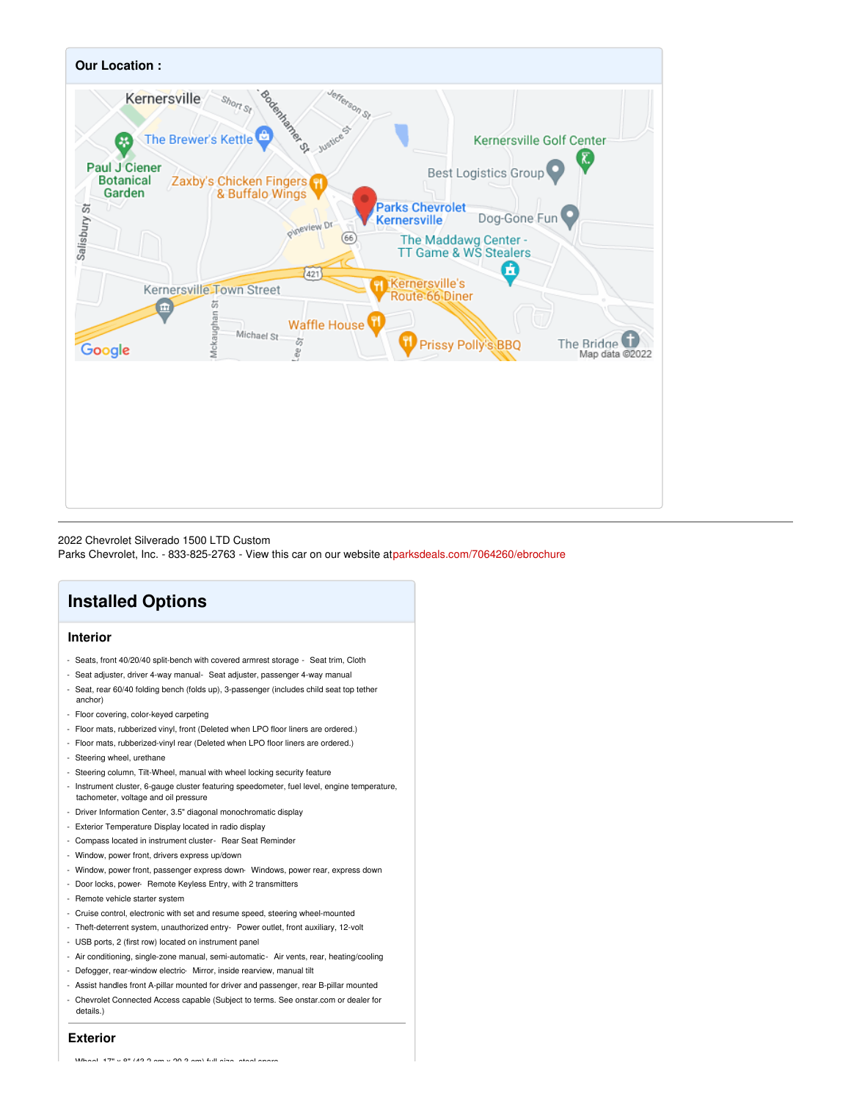

#### 2022 Chevrolet Silverado 1500 LTD Custom

Parks Chevrolet, Inc. - 833-825-2763 - View this car on our website a[tparksdeals.com/7064260/ebrochure](file:///7064260/ebrochure)

# **Installed Options**

### **Interior**

- Seats, front 40/20/40 split-bench with covered armrest storage Seat trim, Cloth
- Seat adjuster, driver 4-way manual- Seat adjuster, passenger 4-way manual
- Seat, rear 60/40 folding bench (folds up), 3-passenger (includes child seat top tether anchor)
- Floor covering, color-keyed carpeting
- Floor mats, rubberized vinyl, front (Deleted when LPO floor liners are ordered.)
- Floor mats, rubberized-vinyl rear (Deleted when LPO floor liners are ordered.)
- Steering wheel, urethane
- Steering column, Tilt-Wheel, manual with wheel locking security feature
- Instrument cluster, 6-gauge cluster featuring speedometer, fuel level, engine temperature, tachometer, voltage and oil pressure
- Driver Information Center, 3.5" diagonal monochromatic display
- Exterior Temperature Display located in radio display
- Compass located in instrument cluster- Rear Seat Reminder
- Window, power front, drivers express up/down
- Window, power front, passenger express down- Windows, power rear, express down
- Door locks, power- Remote Keyless Entry, with 2 transmitters
- Remote vehicle starter system
- Cruise control, electronic with set and resume speed, steering wheel-mounted
- Theft-deterrent system, unauthorized entry- Power outlet, front auxiliary, 12-volt
- USB ports, 2 (first row) located on instrument panel
- Air conditioning, single-zone manual, semi-automatic- Air vents, rear, heating/cooling
- Defogger, rear-window electric- Mirror, inside rearview, manual tilt
- Assist handles front A-pillar mounted for driver and passenger, rear B-pillar mounted
- Chevrolet Connected Access capable (Subject to terms. See onstar.com or dealer for
- details.)

## **Exterior**

- Wheel, 17" x 8" (43.2 cm x 20.3 cm) full-size, steel spare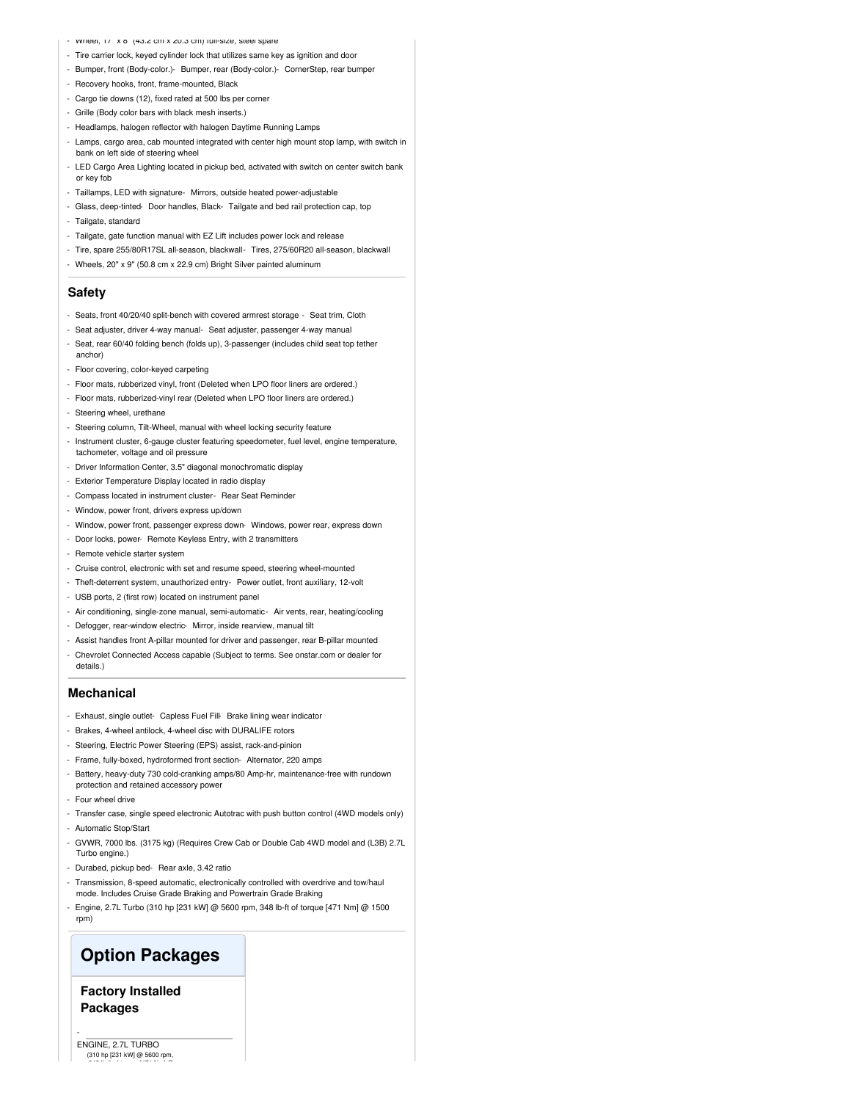- Wheel, 17" x 8" (43.2 cm x 20.3 cm) full-size, steel spare
- Tire carrier lock, keyed cylinder lock that utilizes same key as ignition and door
- Bumper, front (Body-color.)- Bumper, rear (Body-color.)- CornerStep, rear bumper
- Recovery hooks, front, frame-mounted, Black
- Cargo tie downs (12), fixed rated at 500 lbs per corner
- Grille (Body color bars with black mesh inserts.)
- Headlamps, halogen reflector with halogen Daytime Running Lamps
- Lamps, cargo area, cab mounted integrated with center high mount stop lamp, with switch in bank on left side of steering wheel
- LED Cargo Area Lighting located in pickup bed, activated with switch on center switch bank or key fob
- Taillamps, LED with signature- Mirrors, outside heated power-adjustable
- Glass, deep-tinted- Door handles, Black- Tailgate and bed rail protection cap, top
- Tailgate, standard
- Tailgate, gate function manual with EZ Lift includes power lock and release
- Tire, spare 255/80R17SL all-season, blackwall- Tires, 275/60R20 all-season, blackwall
- Wheels, 20" x 9" (50.8 cm x 22.9 cm) Bright Silver painted aluminum

#### **Safety**

- Seats, front 40/20/40 split-bench with covered armrest storage Seat trim, Cloth
- Seat adjuster, driver 4-way manual- Seat adjuster, passenger 4-way manual
- Seat, rear 60/40 folding bench (folds up), 3-passenger (includes child seat top tether anchor)
- Floor covering, color-keyed carpeting
- Floor mats, rubberized vinyl, front (Deleted when LPO floor liners are ordered.)
- Floor mats, rubberized-vinyl rear (Deleted when LPO floor liners are ordered.)
- Steering wheel, urethane
- Steering column, Tilt-Wheel, manual with wheel locking security feature
- Instrument cluster, 6-gauge cluster featuring speedometer, fuel level, engine temperature, tachometer, voltage and oil pressure
- Driver Information Center, 3.5" diagonal monochromatic display
- Exterior Temperature Display located in radio display
- Compass located in instrument cluster- Rear Seat Reminder
- Window, power front, drivers express up/down
- Window, power front, passenger express down- Windows, power rear, express down
- Door locks, power- Remote Keyless Entry, with 2 transmitters
- Remote vehicle starter system
- Cruise control, electronic with set and resume speed, steering wheel-mounted
- Theft-deterrent system, unauthorized entry- Power outlet, front auxiliary, 12-volt
- USB ports, 2 (first row) located on instrument panel
- Air conditioning, single-zone manual, semi-automatic- Air vents, rear, heating/cooling
- Defogger, rear-window electric- Mirror, inside rearview, manual tilt
- Assist handles front A-pillar mounted for driver and passenger, rear B-pillar mounted
- Chevrolet Connected Access capable (Subject to terms. See onstar.com or dealer for details.)

#### **Mechanical**

- Exhaust, single outlet- Capless Fuel Fill- Brake lining wear indicator
- Brakes, 4-wheel antilock, 4-wheel disc with DURALIFE rotors
- Steering, Electric Power Steering (EPS) assist, rack-and-pinion
- Frame, fully-boxed, hydroformed front section- Alternator, 220 amps
- Battery, heavy-duty 730 cold-cranking amps/80 Amp-hr, maintenance-free with rundown protection and retained accessory power
- Four wheel drive
- Transfer case, single speed electronic Autotrac with push button control (4WD models only) - Automatic Stop/Start
- GVWR, 7000 lbs. (3175 kg) (Requires Crew Cab or Double Cab 4WD model and (L3B) 2.7L Turbo engine.)
- Durabed, pickup bed- Rear axle, 3.42 ratio
- Transmission, 8-speed automatic, electronically controlled with overdrive and tow/haul mode. Includes Cruise Grade Braking and Powertrain Grade Braking
- Engine, 2.7L Turbo (310 hp [231 kW] @ 5600 rpm, 348 lb-ft of torque [471 Nm] @ 1500 rpm)

# **Option Packages**

## **Factory Installed Packages**

ENGINE, 2.7L TURBO (310 hp [231 kW] @ 5600 rpm, 348 lb-ft of torque [471 Nm] @

-